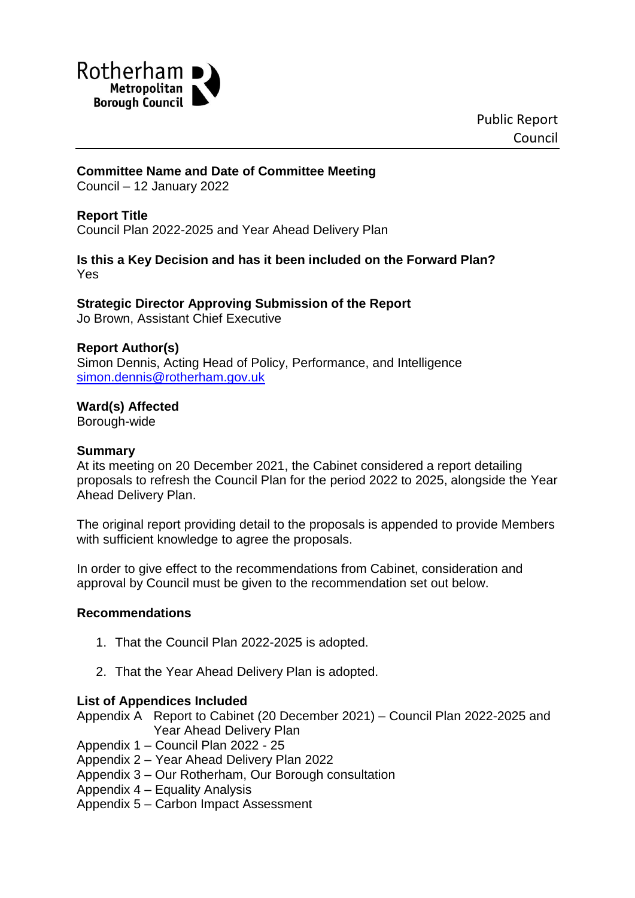

## **Committee Name and Date of Committee Meeting**

Council – 12 January 2022

#### **Report Title**

Council Plan 2022-2025 and Year Ahead Delivery Plan

## **Is this a Key Decision and has it been included on the Forward Plan?** Yes

# **Strategic Director Approving Submission of the Report**

Jo Brown, Assistant Chief Executive

#### **Report Author(s)**

Simon Dennis, Acting Head of Policy, Performance, and Intelligence [simon.dennis@rotherham.gov.uk](mailto:simon.dennis@rotherham.gov.uk)

#### **Ward(s) Affected**

Borough-wide

#### **Summary**

At its meeting on 20 December 2021, the Cabinet considered a report detailing proposals to refresh the Council Plan for the period 2022 to 2025, alongside the Year Ahead Delivery Plan.

The original report providing detail to the proposals is appended to provide Members with sufficient knowledge to agree the proposals.

In order to give effect to the recommendations from Cabinet, consideration and approval by Council must be given to the recommendation set out below.

#### **Recommendations**

- 1. That the Council Plan 2022-2025 is adopted.
- 2. That the Year Ahead Delivery Plan is adopted.

#### **List of Appendices Included**

Appendix A Report to Cabinet (20 December 2021) – Council Plan 2022-2025 and Year Ahead Delivery Plan

Appendix 1 – Council Plan 2022 - 25

- Appendix 2 Year Ahead Delivery Plan 2022
- Appendix 3 Our Rotherham, Our Borough consultation
- Appendix 4 Equality Analysis

Appendix 5 – Carbon Impact Assessment